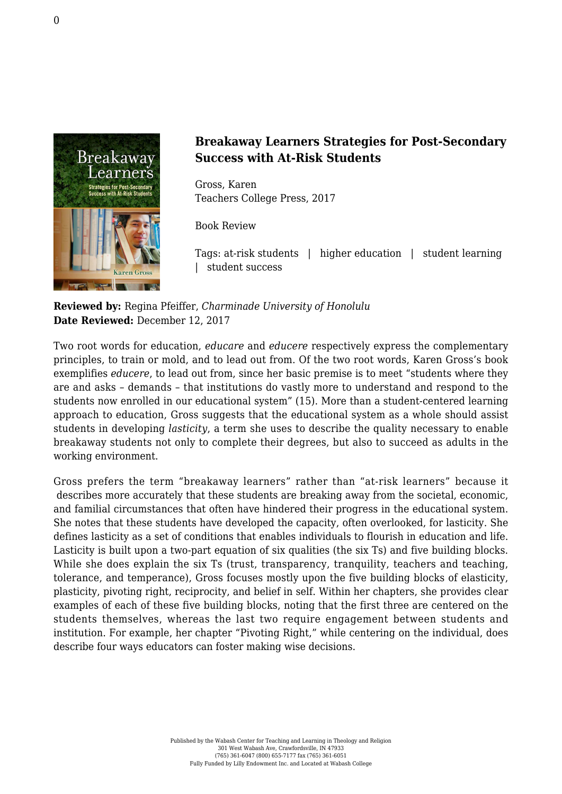

## **Breakaway Learners Strategies for Post-Secondary Success with At-Risk Students**

Gross, Karen [Teachers College Press, 2017](https://www.tcpress.com/breakaway-learners-9780807758427)

Book Review

Tags: at-risk students | higher education | student learning | student success

**Reviewed by:** Regina Pfeiffer, *Charminade University of Honolulu* **Date Reviewed:** December 12, 2017

Two root words for education, *educare* and *educere* respectively express the complementary principles, to train or mold, and to lead out from. Of the two root words, Karen Gross's book exemplifies *educere*, to lead out from, since her basic premise is to meet "students where they are and asks – demands – that institutions do vastly more to understand and respond to the students now enrolled in our educational system" (15). More than a student-centered learning approach to education, Gross suggests that the educational system as a whole should assist students in developing *lasticity*, a term she uses to describe the quality necessary to enable breakaway students not only to complete their degrees, but also to succeed as adults in the working environment.

Gross prefers the term "breakaway learners" rather than "at-risk learners" because it describes more accurately that these students are breaking away from the societal, economic, and familial circumstances that often have hindered their progress in the educational system. She notes that these students have developed the capacity, often overlooked, for lasticity. She defines lasticity as a set of conditions that enables individuals to flourish in education and life. Lasticity is built upon a two-part equation of six qualities (the six Ts) and five building blocks. While she does explain the six Ts (trust, transparency, tranquility, teachers and teaching, tolerance, and temperance), Gross focuses mostly upon the five building blocks of elasticity, plasticity, pivoting right, reciprocity, and belief in self. Within her chapters, she provides clear examples of each of these five building blocks, noting that the first three are centered on the students themselves, whereas the last two require engagement between students and institution. For example, her chapter "Pivoting Right," while centering on the individual, does describe four ways educators can foster making wise decisions.